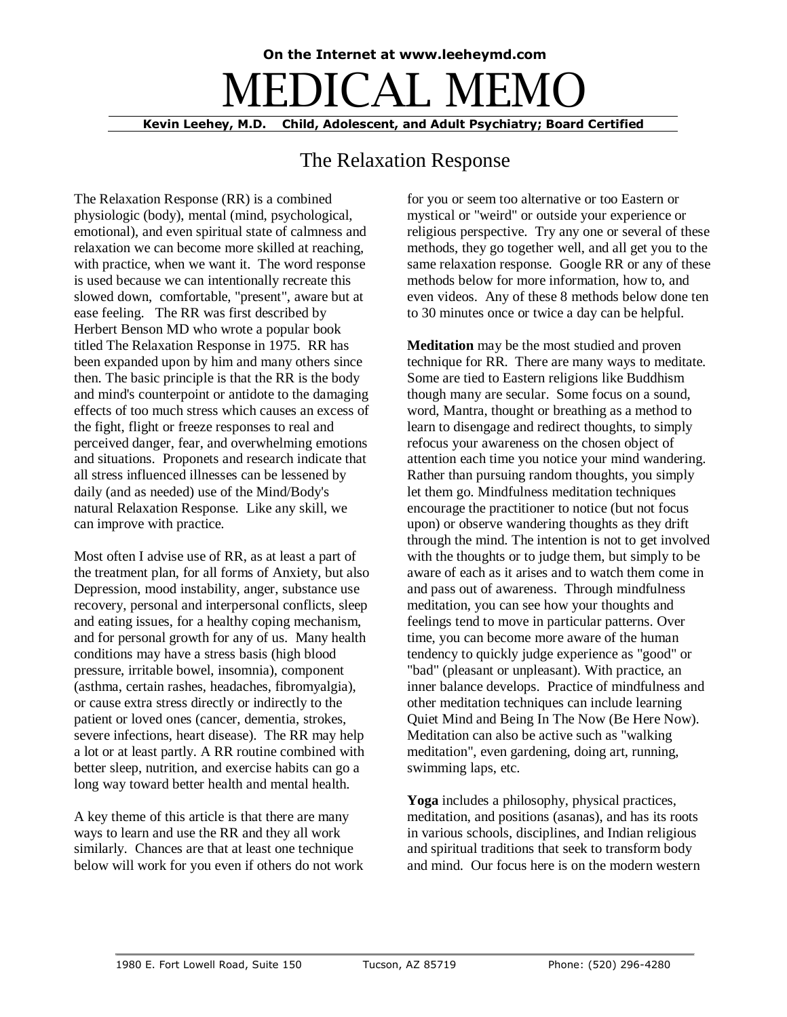## **On the Internet at www.leeheymd.com** DICAL M **Kevin Leehey, M.D. Child, Adolescent, and Adult Psychiatry; Board Certified**

## The Relaxation Response

The Relaxation Response (RR) is a combined physiologic (body), mental (mind, psychological, emotional), and even spiritual state of calmness and relaxation we can become more skilled at reaching, with practice, when we want it. The word response is used because we can intentionally recreate this slowed down, comfortable, "present", aware but at ease feeling. The RR was first described by Herbert Benson MD who wrote a popular book titled The Relaxation Response in 1975. RR has been expanded upon by him and many others since then. The basic principle is that the RR is the body and mind's counterpoint or antidote to the damaging effects of too much stress which causes an excess of the fight, flight or freeze responses to real and perceived danger, fear, and overwhelming emotions and situations. Proponets and research indicate that all stress influenced illnesses can be lessened by daily (and as needed) use of the Mind/Body's natural Relaxation Response. Like any skill, we can improve with practice.

Most often I advise use of RR, as at least a part of the treatment plan, for all forms of Anxiety, but also Depression, mood instability, anger, substance use recovery, personal and interpersonal conflicts, sleep and eating issues, for a healthy coping mechanism, and for personal growth for any of us. Many health conditions may have a stress basis (high blood pressure, irritable bowel, insomnia), component (asthma, certain rashes, headaches, fibromyalgia), or cause extra stress directly or indirectly to the patient or loved ones (cancer, dementia, strokes, severe infections, heart disease). The RR may help a lot or at least partly. A RR routine combined with better sleep, nutrition, and exercise habits can go a long way toward better health and mental health.

A key theme of this article is that there are many ways to learn and use the RR and they all work similarly. Chances are that at least one technique below will work for you even if others do not work for you or seem too alternative or too Eastern or mystical or "weird" or outside your experience or religious perspective. Try any one or several of these methods, they go together well, and all get you to the same relaxation response. Google RR or any of these methods below for more information, how to, and even videos. Any of these 8 methods below done ten to 30 minutes once or twice a day can be helpful.

**Meditation** may be the most studied and proven technique for RR. There are many ways to meditate. Some are tied to Eastern religions like Buddhism though many are secular. Some focus on a sound, word, Mantra, thought or breathing as a method to learn to disengage and redirect thoughts, to simply refocus your awareness on the chosen object of attention each time you notice your mind wandering. Rather than pursuing random thoughts, you simply let them go. Mindfulness meditation techniques encourage the practitioner to notice (but not focus upon) or observe wandering thoughts as they drift through the mind. The intention is not to get involved with the thoughts or to judge them, but simply to be aware of each as it arises and to watch them come in and pass out of awareness. Through mindfulness meditation, you can see how your thoughts and feelings tend to move in particular patterns. Over time, you can become more aware of the human tendency to quickly judge experience as "good" or "bad" (pleasant or unpleasant). With practice, an inner balance develops. Practice of mindfulness and other meditation techniques can include learning Quiet Mind and Being In The Now (Be Here Now). Meditation can also be active such as "walking meditation", even gardening, doing art, running, swimming laps, etc.

**Yoga** includes a philosophy, physical practices, meditation, and positions (asanas), and has its roots in various schools, disciplines, and Indian religious and spiritual traditions that seek to transform body and mind. Our focus here is on the modern western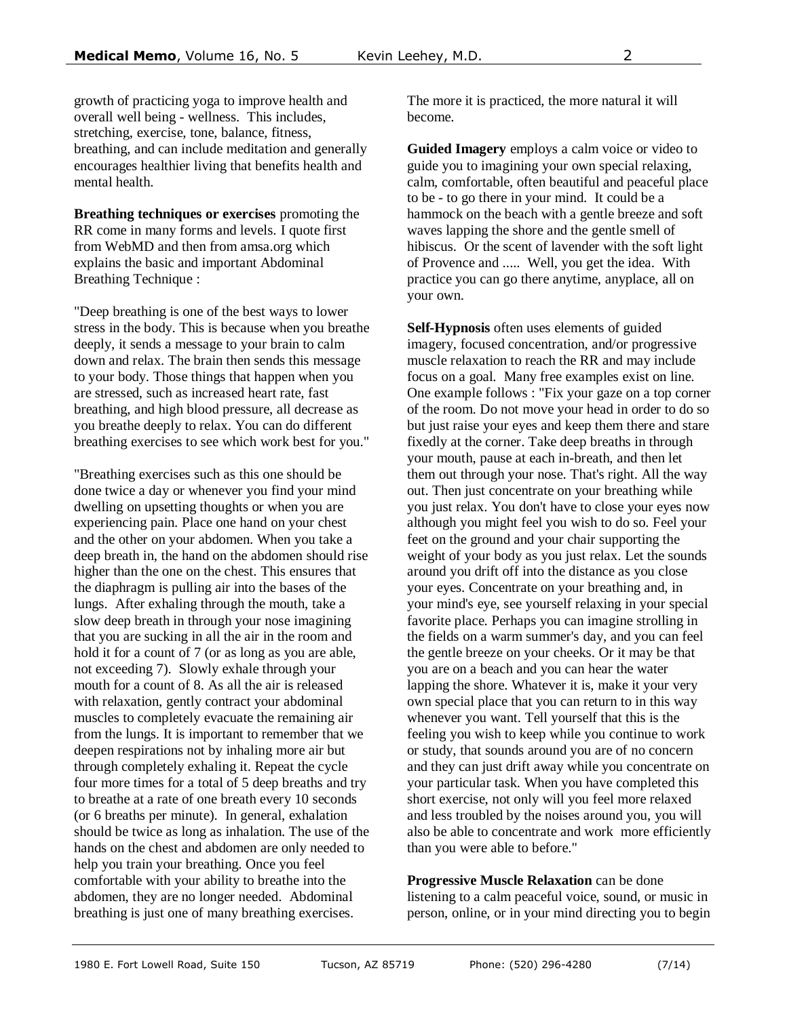growth of practicing yoga to improve health and overall well being - wellness. This includes, stretching, exercise, tone, balance, fitness, breathing, and can include meditation and generally encourages healthier living that benefits health and mental health.

**Breathing techniques or exercises** promoting the RR come in many forms and levels. I quote first from WebMD and then from amsa.org which explains the basic and important Abdominal Breathing Technique :

"Deep breathing is one of the best ways to lower stress in the body. This is because when you breathe deeply, it sends a message to your brain to calm down and relax. The brain then sends this message to your body. Those things that happen when you are stressed, such as increased heart rate, fast breathing, and high blood pressure, all decrease as you breathe deeply to relax. You can do different breathing exercises to see which work best for you."

"Breathing exercises such as this one should be done twice a day or whenever you find your mind dwelling on upsetting thoughts or when you are experiencing pain. Place one hand on your chest and the other on your abdomen. When you take a deep breath in, the hand on the abdomen should rise higher than the one on the chest. This ensures that the diaphragm is pulling air into the bases of the lungs. After exhaling through the mouth, take a slow deep breath in through your nose imagining that you are sucking in all the air in the room and hold it for a count of 7 (or as long as you are able, not exceeding 7). Slowly exhale through your mouth for a count of 8. As all the air is released with relaxation, gently contract your abdominal muscles to completely evacuate the remaining air from the lungs. It is important to remember that we deepen respirations not by inhaling more air but through completely exhaling it. Repeat the cycle four more times for a total of 5 deep breaths and try to breathe at a rate of one breath every 10 seconds (or 6 breaths per minute). In general, exhalation should be twice as long as inhalation. The use of the hands on the chest and abdomen are only needed to help you train your breathing. Once you feel comfortable with your ability to breathe into the abdomen, they are no longer needed. Abdominal breathing is just one of many breathing exercises.

The more it is practiced, the more natural it will become.

**Guided Imagery** employs a calm voice or video to guide you to imagining your own special relaxing, calm, comfortable, often beautiful and peaceful place to be - to go there in your mind. It could be a hammock on the beach with a gentle breeze and soft waves lapping the shore and the gentle smell of hibiscus. Or the scent of lavender with the soft light of Provence and ..... Well, you get the idea. With practice you can go there anytime, anyplace, all on your own.

**Self-Hypnosis** often uses elements of guided imagery, focused concentration, and/or progressive muscle relaxation to reach the RR and may include focus on a goal. Many free examples exist on line. One example follows : "Fix your gaze on a top corner of the room. Do not move your head in order to do so but just raise your eyes and keep them there and stare fixedly at the corner. Take deep breaths in through your mouth, pause at each in-breath, and then let them out through your nose. That's right. All the way out. Then just concentrate on your breathing while you just relax. You don't have to close your eyes now although you might feel you wish to do so. Feel your feet on the ground and your chair supporting the weight of your body as you just relax. Let the sounds around you drift off into the distance as you close your eyes. Concentrate on your breathing and, in your mind's eye, see yourself relaxing in your special favorite place. Perhaps you can imagine strolling in the fields on a warm summer's day, and you can feel the gentle breeze on your cheeks. Or it may be that you are on a beach and you can hear the water lapping the shore. Whatever it is, make it your very own special place that you can return to in this way whenever you want. Tell yourself that this is the feeling you wish to keep while you continue to work or study, that sounds around you are of no concern and they can just drift away while you concentrate on your particular task. When you have completed this short exercise, not only will you feel more relaxed and less troubled by the noises around you, you will also be able to concentrate and work more efficiently than you were able to before."

**Progressive Muscle Relaxation** can be done listening to a calm peaceful voice, sound, or music in person, online, or in your mind directing you to begin